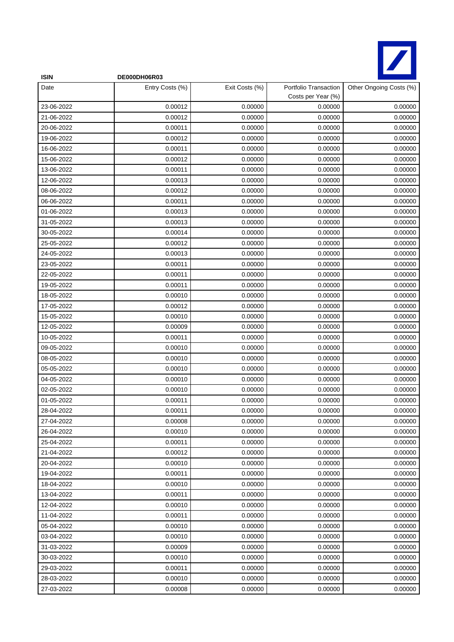

| <b>ISIN</b> | DE000DH06R03    |                |                                             |                         |
|-------------|-----------------|----------------|---------------------------------------------|-------------------------|
| Date        | Entry Costs (%) | Exit Costs (%) | Portfolio Transaction<br>Costs per Year (%) | Other Ongoing Costs (%) |
| 23-06-2022  | 0.00012         | 0.00000        | 0.00000                                     | 0.00000                 |
| 21-06-2022  | 0.00012         | 0.00000        | 0.00000                                     | 0.00000                 |
| 20-06-2022  | 0.00011         | 0.00000        | 0.00000                                     | 0.00000                 |
| 19-06-2022  | 0.00012         | 0.00000        | 0.00000                                     | 0.00000                 |
| 16-06-2022  | 0.00011         | 0.00000        | 0.00000                                     | 0.00000                 |
| 15-06-2022  | 0.00012         | 0.00000        | 0.00000                                     | 0.00000                 |
| 13-06-2022  | 0.00011         | 0.00000        | 0.00000                                     | 0.00000                 |
| 12-06-2022  | 0.00013         | 0.00000        | 0.00000                                     | 0.00000                 |
| 08-06-2022  | 0.00012         | 0.00000        | 0.00000                                     | 0.00000                 |
| 06-06-2022  | 0.00011         | 0.00000        | 0.00000                                     | 0.00000                 |
| 01-06-2022  | 0.00013         | 0.00000        | 0.00000                                     | 0.00000                 |
| 31-05-2022  | 0.00013         | 0.00000        | 0.00000                                     | 0.00000                 |
| 30-05-2022  | 0.00014         | 0.00000        | 0.00000                                     | 0.00000                 |
| 25-05-2022  | 0.00012         | 0.00000        | 0.00000                                     | 0.00000                 |
| 24-05-2022  | 0.00013         | 0.00000        | 0.00000                                     | 0.00000                 |
| 23-05-2022  | 0.00011         | 0.00000        | 0.00000                                     | 0.00000                 |
| 22-05-2022  | 0.00011         | 0.00000        | 0.00000                                     | 0.00000                 |
| 19-05-2022  | 0.00011         | 0.00000        | 0.00000                                     | 0.00000                 |
| 18-05-2022  | 0.00010         | 0.00000        | 0.00000                                     | 0.00000                 |
| 17-05-2022  | 0.00012         | 0.00000        | 0.00000                                     | 0.00000                 |
| 15-05-2022  | 0.00010         | 0.00000        | 0.00000                                     | 0.00000                 |
| 12-05-2022  | 0.00009         | 0.00000        | 0.00000                                     | 0.00000                 |
| 10-05-2022  | 0.00011         | 0.00000        | 0.00000                                     | 0.00000                 |
| 09-05-2022  | 0.00010         | 0.00000        | 0.00000                                     | 0.00000                 |
| 08-05-2022  | 0.00010         | 0.00000        | 0.00000                                     | 0.00000                 |
| 05-05-2022  | 0.00010         | 0.00000        | 0.00000                                     | 0.00000                 |
| 04-05-2022  | 0.00010         | 0.00000        | 0.00000                                     | 0.00000                 |
| 02-05-2022  | 0.00010         | 0.00000        | 0.00000                                     | 0.00000                 |
| 01-05-2022  | 0.00011         | 0.00000        | 0.00000                                     | 0.00000                 |
| 28-04-2022  | 0.00011         | 0.00000        | 0.00000                                     | 0.00000                 |
| 27-04-2022  | 0.00008         | 0.00000        | 0.00000                                     | 0.00000                 |
| 26-04-2022  | 0.00010         | 0.00000        | 0.00000                                     | 0.00000                 |
| 25-04-2022  | 0.00011         | 0.00000        | 0.00000                                     | 0.00000                 |
| 21-04-2022  | 0.00012         | 0.00000        | 0.00000                                     | 0.00000                 |
| 20-04-2022  | 0.00010         | 0.00000        | 0.00000                                     | 0.00000                 |
| 19-04-2022  | 0.00011         | 0.00000        | 0.00000                                     | 0.00000                 |
| 18-04-2022  | 0.00010         | 0.00000        | 0.00000                                     | 0.00000                 |
| 13-04-2022  | 0.00011         | 0.00000        | 0.00000                                     | 0.00000                 |
| 12-04-2022  | 0.00010         | 0.00000        | 0.00000                                     | 0.00000                 |
| 11-04-2022  | 0.00011         | 0.00000        | 0.00000                                     | 0.00000                 |
| 05-04-2022  | 0.00010         | 0.00000        | 0.00000                                     | 0.00000                 |
| 03-04-2022  | 0.00010         | 0.00000        | 0.00000                                     | 0.00000                 |
| 31-03-2022  | 0.00009         | 0.00000        | 0.00000                                     | 0.00000                 |
| 30-03-2022  | 0.00010         | 0.00000        | 0.00000                                     | 0.00000                 |
| 29-03-2022  | 0.00011         | 0.00000        | 0.00000                                     | 0.00000                 |
| 28-03-2022  | 0.00010         | 0.00000        | 0.00000                                     | 0.00000                 |
| 27-03-2022  | 0.00008         | 0.00000        | 0.00000                                     | 0.00000                 |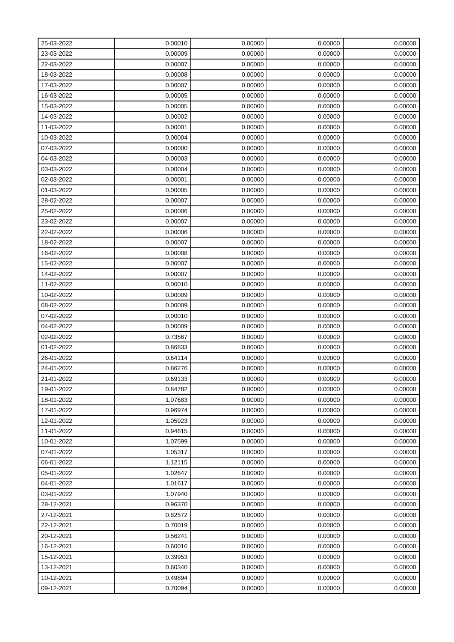| 25-03-2022 | 0.00010 | 0.00000 | 0.00000 | 0.00000 |
|------------|---------|---------|---------|---------|
| 23-03-2022 | 0.00009 | 0.00000 | 0.00000 | 0.00000 |
| 22-03-2022 | 0.00007 | 0.00000 | 0.00000 | 0.00000 |
| 18-03-2022 | 0.00008 | 0.00000 | 0.00000 | 0.00000 |
| 17-03-2022 | 0.00007 | 0.00000 | 0.00000 | 0.00000 |
| 16-03-2022 | 0.00005 | 0.00000 | 0.00000 | 0.00000 |
| 15-03-2022 | 0.00005 | 0.00000 | 0.00000 | 0.00000 |
| 14-03-2022 | 0.00002 | 0.00000 | 0.00000 | 0.00000 |
| 11-03-2022 | 0.00001 | 0.00000 | 0.00000 | 0.00000 |
| 10-03-2022 | 0.00004 | 0.00000 | 0.00000 | 0.00000 |
| 07-03-2022 | 0.00000 | 0.00000 | 0.00000 | 0.00000 |
| 04-03-2022 | 0.00003 | 0.00000 | 0.00000 | 0.00000 |
| 03-03-2022 | 0.00004 | 0.00000 | 0.00000 | 0.00000 |
| 02-03-2022 | 0.00001 | 0.00000 | 0.00000 | 0.00000 |
| 01-03-2022 | 0.00005 | 0.00000 | 0.00000 | 0.00000 |
| 28-02-2022 | 0.00007 | 0.00000 | 0.00000 | 0.00000 |
| 25-02-2022 | 0.00006 | 0.00000 | 0.00000 | 0.00000 |
| 23-02-2022 | 0.00007 | 0.00000 | 0.00000 | 0.00000 |
| 22-02-2022 | 0.00006 | 0.00000 | 0.00000 | 0.00000 |
| 18-02-2022 | 0.00007 | 0.00000 | 0.00000 | 0.00000 |
| 16-02-2022 | 0.00008 | 0.00000 | 0.00000 | 0.00000 |
| 15-02-2022 | 0.00007 | 0.00000 | 0.00000 | 0.00000 |
| 14-02-2022 | 0.00007 | 0.00000 | 0.00000 | 0.00000 |
| 11-02-2022 | 0.00010 | 0.00000 | 0.00000 | 0.00000 |
| 10-02-2022 | 0.00009 | 0.00000 | 0.00000 | 0.00000 |
| 08-02-2022 | 0.00009 | 0.00000 | 0.00000 | 0.00000 |
| 07-02-2022 | 0.00010 | 0.00000 | 0.00000 | 0.00000 |
| 04-02-2022 | 0.00009 | 0.00000 | 0.00000 | 0.00000 |
| 02-02-2022 | 0.73567 | 0.00000 | 0.00000 | 0.00000 |
| 01-02-2022 | 0.86833 | 0.00000 | 0.00000 | 0.00000 |
| 26-01-2022 | 0.64114 | 0.00000 | 0.00000 | 0.00000 |
| 24-01-2022 | 0.86276 | 0.00000 | 0.00000 | 0.00000 |
| 21-01-2022 | 0.69133 | 0.00000 | 0.00000 | 0.00000 |
| 19-01-2022 | 0.84782 | 0.00000 | 0.00000 | 0.00000 |
| 18-01-2022 | 1.07683 | 0.00000 | 0.00000 | 0.00000 |
| 17-01-2022 | 0.96974 | 0.00000 | 0.00000 | 0.00000 |
| 12-01-2022 | 1.05923 | 0.00000 | 0.00000 | 0.00000 |
| 11-01-2022 | 0.94615 | 0.00000 | 0.00000 | 0.00000 |
| 10-01-2022 | 1.07599 | 0.00000 | 0.00000 | 0.00000 |
| 07-01-2022 | 1.05317 | 0.00000 | 0.00000 | 0.00000 |
| 06-01-2022 | 1.12115 | 0.00000 | 0.00000 | 0.00000 |
| 05-01-2022 | 1.02647 | 0.00000 | 0.00000 | 0.00000 |
| 04-01-2022 | 1.01617 | 0.00000 | 0.00000 | 0.00000 |
| 03-01-2022 | 1.07940 | 0.00000 | 0.00000 | 0.00000 |
| 28-12-2021 | 0.96370 | 0.00000 | 0.00000 | 0.00000 |
| 27-12-2021 | 0.82572 | 0.00000 | 0.00000 | 0.00000 |
| 22-12-2021 | 0.70019 | 0.00000 | 0.00000 | 0.00000 |
| 20-12-2021 | 0.56241 | 0.00000 | 0.00000 | 0.00000 |
| 16-12-2021 | 0.60016 | 0.00000 | 0.00000 | 0.00000 |
| 15-12-2021 | 0.39953 | 0.00000 | 0.00000 | 0.00000 |
| 13-12-2021 | 0.60340 | 0.00000 | 0.00000 | 0.00000 |
| 10-12-2021 | 0.49894 | 0.00000 | 0.00000 | 0.00000 |
| 09-12-2021 | 0.70094 | 0.00000 | 0.00000 | 0.00000 |